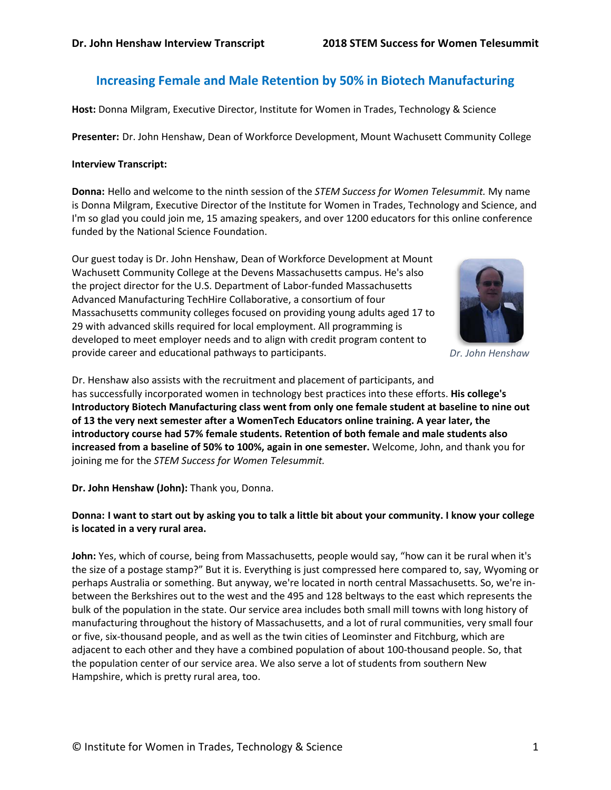# **Increasing Female and Male Retention by 50% in Biotech Manufacturing**

**Host:** Donna Milgram, Executive Director, Institute for Women in Trades, Technology & Science

**Presenter:** Dr. John Henshaw, Dean of Workforce Development, Mount Wachusett Community College

#### **Interview Transcript:**

**Donna:** Hello and welcome to the ninth session of the *STEM Success for Women Telesummit.* My name is Donna Milgram, Executive Director of the Institute for Women in Trades, Technology and Science, and I'm so glad you could join me, 15 amazing speakers, and over 1200 educators for this online conference funded by the National Science Foundation.

Our guest today is Dr. John Henshaw, Dean of Workforce Development at Mount Wachusett Community College at the Devens Massachusetts campus. He's also the project director for the U.S. Department of Labor-funded Massachusetts Advanced Manufacturing TechHire Collaborative, a consortium of four Massachusetts community colleges focused on providing young adults aged 17 to 29 with advanced skills required for local employment. All programming is developed to meet employer needs and to align with credit program content to provide career and educational pathways to participants.



*Dr. John Henshaw*

Dr. Henshaw also assists with the recruitment and placement of participants, and has successfully incorporated women in technology best practices into these efforts. **His college's Introductory Biotech Manufacturing class went from only one female student at baseline to nine out of 13 the very next semester after a WomenTech Educators online training. A year later, the introductory course had 57% female students. Retention of both female and male students also increased from a baseline of 50% to 100%, again in one semester.** Welcome, John, and thank you for joining me for the *STEM Success for Women Telesummit.*

**Dr. John Henshaw (John):** Thank you, Donna.

# **Donna: I want to start out by asking you to talk a little bit about your community. I know your college is located in a very rural area.**

**John:** Yes, which of course, being from Massachusetts, people would say, "how can it be rural when it's the size of a postage stamp?" But it is. Everything is just compressed here compared to, say, Wyoming or perhaps Australia or something. But anyway, we're located in north central Massachusetts. So, we're inbetween the Berkshires out to the west and the 495 and 128 beltways to the east which represents the bulk of the population in the state. Our service area includes both small mill towns with long history of manufacturing throughout the history of Massachusetts, and a lot of rural communities, very small four or five, six-thousand people, and as well as the twin cities of Leominster and Fitchburg, which are adjacent to each other and they have a combined population of about 100-thousand people. So, that the population center of our service area. We also serve a lot of students from southern New Hampshire, which is pretty rural area, too.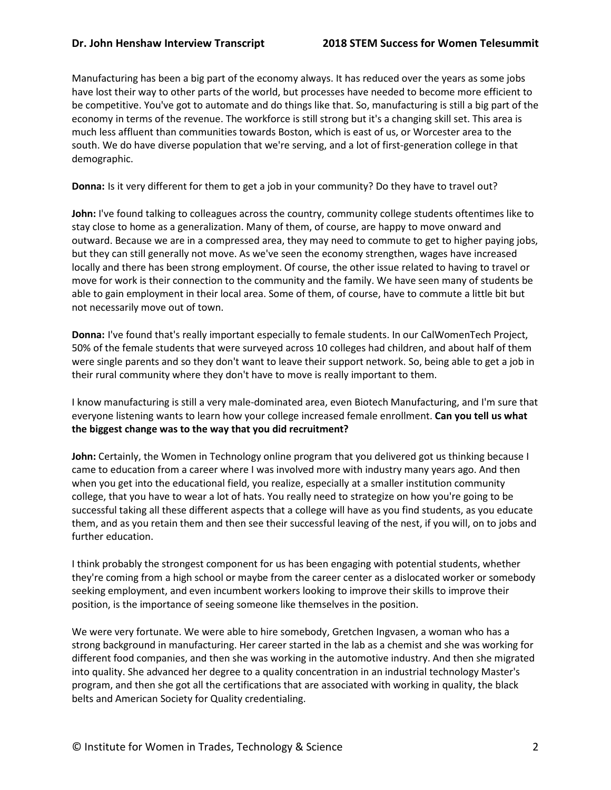Manufacturing has been a big part of the economy always. It has reduced over the years as some jobs have lost their way to other parts of the world, but processes have needed to become more efficient to be competitive. You've got to automate and do things like that. So, manufacturing is still a big part of the economy in terms of the revenue. The workforce is still strong but it's a changing skill set. This area is much less affluent than communities towards Boston, which is east of us, or Worcester area to the south. We do have diverse population that we're serving, and a lot of first-generation college in that demographic.

**Donna:** Is it very different for them to get a job in your community? Do they have to travel out?

John: I've found talking to colleagues across the country, community college students oftentimes like to stay close to home as a generalization. Many of them, of course, are happy to move onward and outward. Because we are in a compressed area, they may need to commute to get to higher paying jobs, but they can still generally not move. As we've seen the economy strengthen, wages have increased locally and there has been strong employment. Of course, the other issue related to having to travel or move for work is their connection to the community and the family. We have seen many of students be able to gain employment in their local area. Some of them, of course, have to commute a little bit but not necessarily move out of town.

**Donna:** I've found that's really important especially to female students. In our CalWomenTech Project, 50% of the female students that were surveyed across 10 colleges had children, and about half of them were single parents and so they don't want to leave their support network. So, being able to get a job in their rural community where they don't have to move is really important to them.

I know manufacturing is still a very male-dominated area, even Biotech Manufacturing, and I'm sure that everyone listening wants to learn how your college increased female enrollment. **Can you tell us what the biggest change was to the way that you did recruitment?**

**John:** Certainly, the Women in Technology online program that you delivered got us thinking because I came to education from a career where I was involved more with industry many years ago. And then when you get into the educational field, you realize, especially at a smaller institution community college, that you have to wear a lot of hats. You really need to strategize on how you're going to be successful taking all these different aspects that a college will have as you find students, as you educate them, and as you retain them and then see their successful leaving of the nest, if you will, on to jobs and further education.

I think probably the strongest component for us has been engaging with potential students, whether they're coming from a high school or maybe from the career center as a dislocated worker or somebody seeking employment, and even incumbent workers looking to improve their skills to improve their position, is the importance of seeing someone like themselves in the position.

We were very fortunate. We were able to hire somebody, Gretchen Ingvasen, a woman who has a strong background in manufacturing. Her career started in the lab as a chemist and she was working for different food companies, and then she was working in the automotive industry. And then she migrated into quality. She advanced her degree to a quality concentration in an industrial technology Master's program, and then she got all the certifications that are associated with working in quality, the black belts and American Society for Quality credentialing.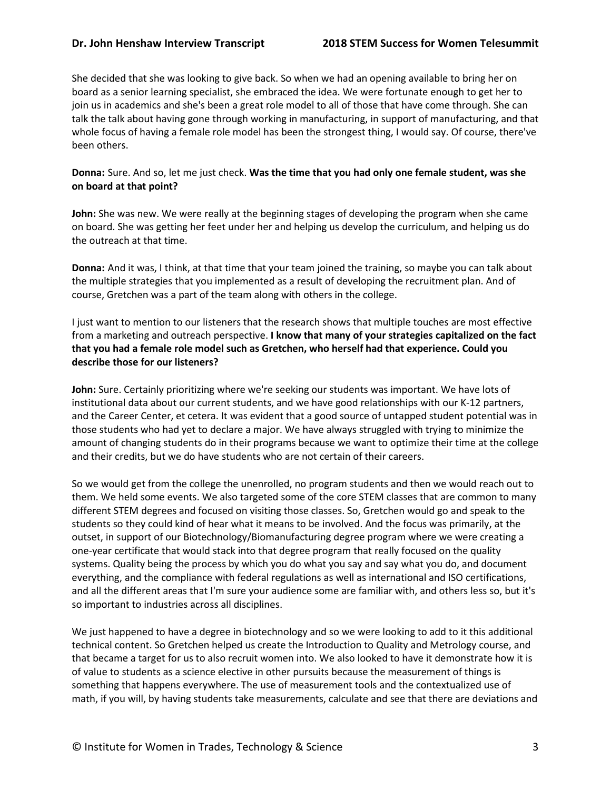She decided that she was looking to give back. So when we had an opening available to bring her on board as a senior learning specialist, she embraced the idea. We were fortunate enough to get her to join us in academics and she's been a great role model to all of those that have come through. She can talk the talk about having gone through working in manufacturing, in support of manufacturing, and that whole focus of having a female role model has been the strongest thing, I would say. Of course, there've been others.

#### **Donna:** Sure. And so, let me just check. **Was the time that you had only one female student, was she on board at that point?**

**John:** She was new. We were really at the beginning stages of developing the program when she came on board. She was getting her feet under her and helping us develop the curriculum, and helping us do the outreach at that time.

**Donna:** And it was, I think, at that time that your team joined the training, so maybe you can talk about the multiple strategies that you implemented as a result of developing the recruitment plan. And of course, Gretchen was a part of the team along with others in the college.

I just want to mention to our listeners that the research shows that multiple touches are most effective from a marketing and outreach perspective. **I know that many of your strategies capitalized on the fact that you had a female role model such as Gretchen, who herself had that experience. Could you describe those for our listeners?**

**John:** Sure. Certainly prioritizing where we're seeking our students was important. We have lots of institutional data about our current students, and we have good relationships with our K-12 partners, and the Career Center, et cetera. It was evident that a good source of untapped student potential was in those students who had yet to declare a major. We have always struggled with trying to minimize the amount of changing students do in their programs because we want to optimize their time at the college and their credits, but we do have students who are not certain of their careers.

So we would get from the college the unenrolled, no program students and then we would reach out to them. We held some events. We also targeted some of the core STEM classes that are common to many different STEM degrees and focused on visiting those classes. So, Gretchen would go and speak to the students so they could kind of hear what it means to be involved. And the focus was primarily, at the outset, in support of our Biotechnology/Biomanufacturing degree program where we were creating a one-year certificate that would stack into that degree program that really focused on the quality systems. Quality being the process by which you do what you say and say what you do, and document everything, and the compliance with federal regulations as well as international and ISO certifications, and all the different areas that I'm sure your audience some are familiar with, and others less so, but it's so important to industries across all disciplines.

We just happened to have a degree in biotechnology and so we were looking to add to it this additional technical content. So Gretchen helped us create the Introduction to Quality and Metrology course, and that became a target for us to also recruit women into. We also looked to have it demonstrate how it is of value to students as a science elective in other pursuits because the measurement of things is something that happens everywhere. The use of measurement tools and the contextualized use of math, if you will, by having students take measurements, calculate and see that there are deviations and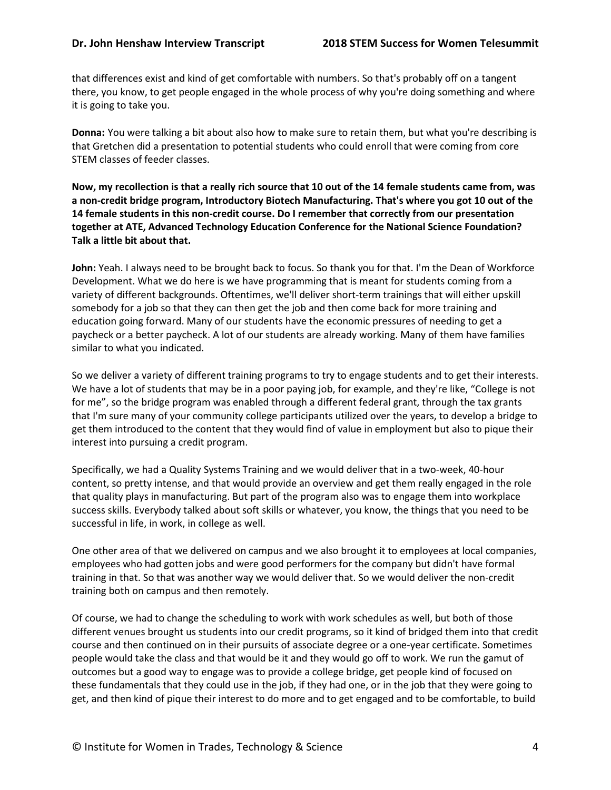that differences exist and kind of get comfortable with numbers. So that's probably off on a tangent there, you know, to get people engaged in the whole process of why you're doing something and where it is going to take you.

**Donna:** You were talking a bit about also how to make sure to retain them, but what you're describing is that Gretchen did a presentation to potential students who could enroll that were coming from core STEM classes of feeder classes.

**Now, my recollection is that a really rich source that 10 out of the 14 female students came from, was a non-credit bridge program, Introductory Biotech Manufacturing. That's where you got 10 out of the 14 female students in this non-credit course. Do I remember that correctly from our presentation together at ATE, Advanced Technology Education Conference for the National Science Foundation? Talk a little bit about that.** 

**John:** Yeah. I always need to be brought back to focus. So thank you for that. I'm the Dean of Workforce Development. What we do here is we have programming that is meant for students coming from a variety of different backgrounds. Oftentimes, we'll deliver short-term trainings that will either upskill somebody for a job so that they can then get the job and then come back for more training and education going forward. Many of our students have the economic pressures of needing to get a paycheck or a better paycheck. A lot of our students are already working. Many of them have families similar to what you indicated.

So we deliver a variety of different training programs to try to engage students and to get their interests. We have a lot of students that may be in a poor paying job, for example, and they're like, "College is not for me", so the bridge program was enabled through a different federal grant, through the tax grants that I'm sure many of your community college participants utilized over the years, to develop a bridge to get them introduced to the content that they would find of value in employment but also to pique their interest into pursuing a credit program.

Specifically, we had a Quality Systems Training and we would deliver that in a two-week, 40-hour content, so pretty intense, and that would provide an overview and get them really engaged in the role that quality plays in manufacturing. But part of the program also was to engage them into workplace success skills. Everybody talked about soft skills or whatever, you know, the things that you need to be successful in life, in work, in college as well.

One other area of that we delivered on campus and we also brought it to employees at local companies, employees who had gotten jobs and were good performers for the company but didn't have formal training in that. So that was another way we would deliver that. So we would deliver the non-credit training both on campus and then remotely.

Of course, we had to change the scheduling to work with work schedules as well, but both of those different venues brought us students into our credit programs, so it kind of bridged them into that credit course and then continued on in their pursuits of associate degree or a one-year certificate. Sometimes people would take the class and that would be it and they would go off to work. We run the gamut of outcomes but a good way to engage was to provide a college bridge, get people kind of focused on these fundamentals that they could use in the job, if they had one, or in the job that they were going to get, and then kind of pique their interest to do more and to get engaged and to be comfortable, to build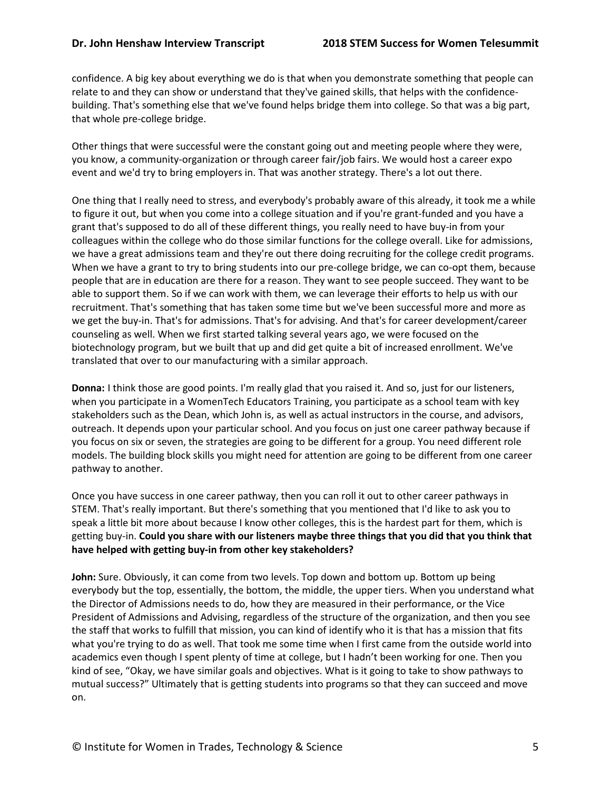confidence. A big key about everything we do is that when you demonstrate something that people can relate to and they can show or understand that they've gained skills, that helps with the confidencebuilding. That's something else that we've found helps bridge them into college. So that was a big part, that whole pre-college bridge.

Other things that were successful were the constant going out and meeting people where they were, you know, a community-organization or through career fair/job fairs. We would host a career expo event and we'd try to bring employers in. That was another strategy. There's a lot out there.

One thing that I really need to stress, and everybody's probably aware of this already, it took me a while to figure it out, but when you come into a college situation and if you're grant-funded and you have a grant that's supposed to do all of these different things, you really need to have buy-in from your colleagues within the college who do those similar functions for the college overall. Like for admissions, we have a great admissions team and they're out there doing recruiting for the college credit programs. When we have a grant to try to bring students into our pre-college bridge, we can co-opt them, because people that are in education are there for a reason. They want to see people succeed. They want to be able to support them. So if we can work with them, we can leverage their efforts to help us with our recruitment. That's something that has taken some time but we've been successful more and more as we get the buy-in. That's for admissions. That's for advising. And that's for career development/career counseling as well. When we first started talking several years ago, we were focused on the biotechnology program, but we built that up and did get quite a bit of increased enrollment. We've translated that over to our manufacturing with a similar approach.

**Donna:** I think those are good points. I'm really glad that you raised it. And so, just for our listeners, when you participate in a WomenTech Educators Training, you participate as a school team with key stakeholders such as the Dean, which John is, as well as actual instructors in the course, and advisors, outreach. It depends upon your particular school. And you focus on just one career pathway because if you focus on six or seven, the strategies are going to be different for a group. You need different role models. The building block skills you might need for attention are going to be different from one career pathway to another.

Once you have success in one career pathway, then you can roll it out to other career pathways in STEM. That's really important. But there's something that you mentioned that I'd like to ask you to speak a little bit more about because I know other colleges, this is the hardest part for them, which is getting buy-in. **Could you share with our listeners maybe three things that you did that you think that have helped with getting buy-in from other key stakeholders?**

**John:** Sure. Obviously, it can come from two levels. Top down and bottom up. Bottom up being everybody but the top, essentially, the bottom, the middle, the upper tiers. When you understand what the Director of Admissions needs to do, how they are measured in their performance, or the Vice President of Admissions and Advising, regardless of the structure of the organization, and then you see the staff that works to fulfill that mission, you can kind of identify who it is that has a mission that fits what you're trying to do as well. That took me some time when I first came from the outside world into academics even though I spent plenty of time at college, but I hadn't been working for one. Then you kind of see, "Okay, we have similar goals and objectives. What is it going to take to show pathways to mutual success?" Ultimately that is getting students into programs so that they can succeed and move on.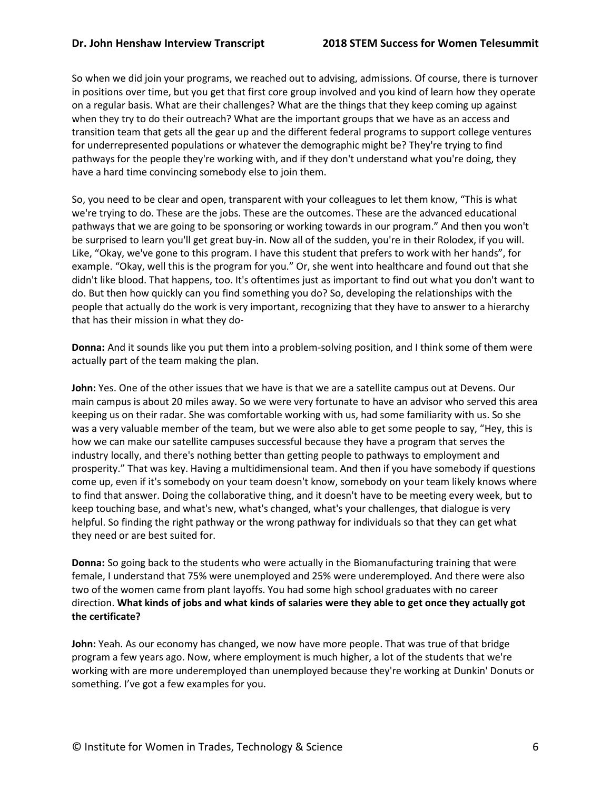So when we did join your programs, we reached out to advising, admissions. Of course, there is turnover in positions over time, but you get that first core group involved and you kind of learn how they operate on a regular basis. What are their challenges? What are the things that they keep coming up against when they try to do their outreach? What are the important groups that we have as an access and transition team that gets all the gear up and the different federal programs to support college ventures for underrepresented populations or whatever the demographic might be? They're trying to find pathways for the people they're working with, and if they don't understand what you're doing, they have a hard time convincing somebody else to join them.

So, you need to be clear and open, transparent with your colleagues to let them know, "This is what we're trying to do. These are the jobs. These are the outcomes. These are the advanced educational pathways that we are going to be sponsoring or working towards in our program." And then you won't be surprised to learn you'll get great buy-in. Now all of the sudden, you're in their Rolodex, if you will. Like, "Okay, we've gone to this program. I have this student that prefers to work with her hands", for example. "Okay, well this is the program for you." Or, she went into healthcare and found out that she didn't like blood. That happens, too. It's oftentimes just as important to find out what you don't want to do. But then how quickly can you find something you do? So, developing the relationships with the people that actually do the work is very important, recognizing that they have to answer to a hierarchy that has their mission in what they do-

**Donna:** And it sounds like you put them into a problem-solving position, and I think some of them were actually part of the team making the plan.

**John:** Yes. One of the other issues that we have is that we are a satellite campus out at Devens. Our main campus is about 20 miles away. So we were very fortunate to have an advisor who served this area keeping us on their radar. She was comfortable working with us, had some familiarity with us. So she was a very valuable member of the team, but we were also able to get some people to say, "Hey, this is how we can make our satellite campuses successful because they have a program that serves the industry locally, and there's nothing better than getting people to pathways to employment and prosperity." That was key. Having a multidimensional team. And then if you have somebody if questions come up, even if it's somebody on your team doesn't know, somebody on your team likely knows where to find that answer. Doing the collaborative thing, and it doesn't have to be meeting every week, but to keep touching base, and what's new, what's changed, what's your challenges, that dialogue is very helpful. So finding the right pathway or the wrong pathway for individuals so that they can get what they need or are best suited for.

**Donna:** So going back to the students who were actually in the Biomanufacturing training that were female, I understand that 75% were unemployed and 25% were underemployed. And there were also two of the women came from plant layoffs. You had some high school graduates with no career direction. **What kinds of jobs and what kinds of salaries were they able to get once they actually got the certificate?**

**John:** Yeah. As our economy has changed, we now have more people. That was true of that bridge program a few years ago. Now, where employment is much higher, a lot of the students that we're working with are more underemployed than unemployed because they're working at Dunkin' Donuts or something. I've got a few examples for you.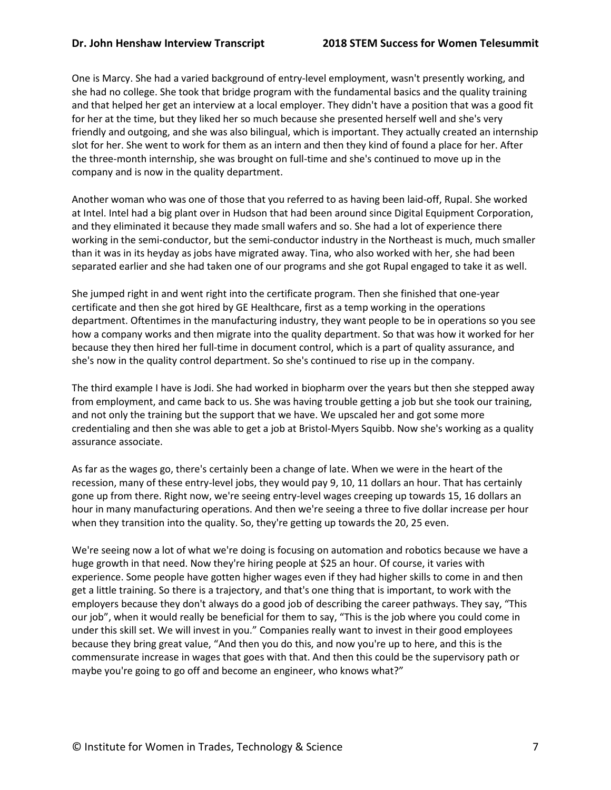One is Marcy. She had a varied background of entry-level employment, wasn't presently working, and she had no college. She took that bridge program with the fundamental basics and the quality training and that helped her get an interview at a local employer. They didn't have a position that was a good fit for her at the time, but they liked her so much because she presented herself well and she's very friendly and outgoing, and she was also bilingual, which is important. They actually created an internship slot for her. She went to work for them as an intern and then they kind of found a place for her. After the three-month internship, she was brought on full-time and she's continued to move up in the company and is now in the quality department.

Another woman who was one of those that you referred to as having been laid-off, Rupal. She worked at Intel. Intel had a big plant over in Hudson that had been around since Digital Equipment Corporation, and they eliminated it because they made small wafers and so. She had a lot of experience there working in the semi-conductor, but the semi-conductor industry in the Northeast is much, much smaller than it was in its heyday as jobs have migrated away. Tina, who also worked with her, she had been separated earlier and she had taken one of our programs and she got Rupal engaged to take it as well.

She jumped right in and went right into the certificate program. Then she finished that one-year certificate and then she got hired by GE Healthcare, first as a temp working in the operations department. Oftentimes in the manufacturing industry, they want people to be in operations so you see how a company works and then migrate into the quality department. So that was how it worked for her because they then hired her full-time in document control, which is a part of quality assurance, and she's now in the quality control department. So she's continued to rise up in the company.

The third example I have is Jodi. She had worked in biopharm over the years but then she stepped away from employment, and came back to us. She was having trouble getting a job but she took our training, and not only the training but the support that we have. We upscaled her and got some more credentialing and then she was able to get a job at Bristol-Myers Squibb. Now she's working as a quality assurance associate.

As far as the wages go, there's certainly been a change of late. When we were in the heart of the recession, many of these entry-level jobs, they would pay 9, 10, 11 dollars an hour. That has certainly gone up from there. Right now, we're seeing entry-level wages creeping up towards 15, 16 dollars an hour in many manufacturing operations. And then we're seeing a three to five dollar increase per hour when they transition into the quality. So, they're getting up towards the 20, 25 even.

We're seeing now a lot of what we're doing is focusing on automation and robotics because we have a huge growth in that need. Now they're hiring people at \$25 an hour. Of course, it varies with experience. Some people have gotten higher wages even if they had higher skills to come in and then get a little training. So there is a trajectory, and that's one thing that is important, to work with the employers because they don't always do a good job of describing the career pathways. They say, "This our job", when it would really be beneficial for them to say, "This is the job where you could come in under this skill set. We will invest in you." Companies really want to invest in their good employees because they bring great value, "And then you do this, and now you're up to here, and this is the commensurate increase in wages that goes with that. And then this could be the supervisory path or maybe you're going to go off and become an engineer, who knows what?"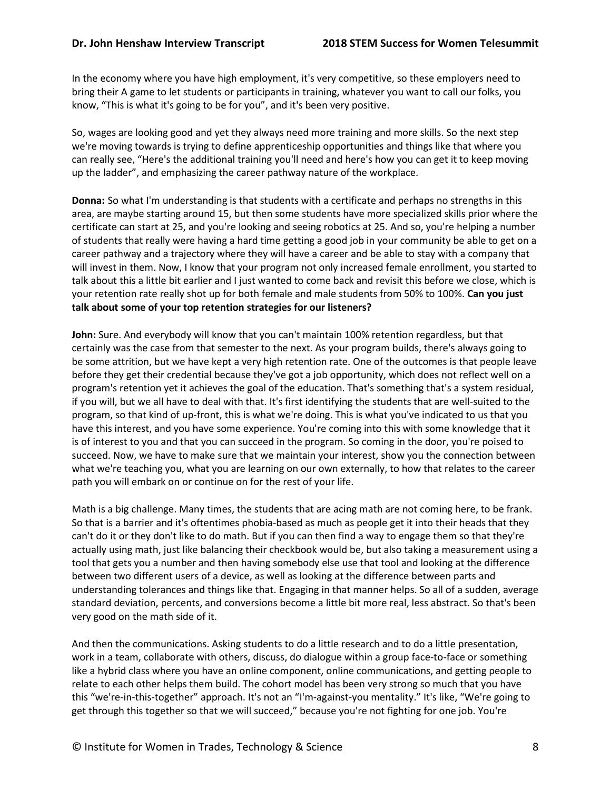In the economy where you have high employment, it's very competitive, so these employers need to bring their A game to let students or participants in training, whatever you want to call our folks, you know, "This is what it's going to be for you", and it's been very positive.

So, wages are looking good and yet they always need more training and more skills. So the next step we're moving towards is trying to define apprenticeship opportunities and things like that where you can really see, "Here's the additional training you'll need and here's how you can get it to keep moving up the ladder", and emphasizing the career pathway nature of the workplace.

**Donna:** So what I'm understanding is that students with a certificate and perhaps no strengths in this area, are maybe starting around 15, but then some students have more specialized skills prior where the certificate can start at 25, and you're looking and seeing robotics at 25. And so, you're helping a number of students that really were having a hard time getting a good job in your community be able to get on a career pathway and a trajectory where they will have a career and be able to stay with a company that will invest in them. Now, I know that your program not only increased female enrollment, you started to talk about this a little bit earlier and I just wanted to come back and revisit this before we close, which is your retention rate really shot up for both female and male students from 50% to 100%. **Can you just talk about some of your top retention strategies for our listeners?**

**John:** Sure. And everybody will know that you can't maintain 100% retention regardless, but that certainly was the case from that semester to the next. As your program builds, there's always going to be some attrition, but we have kept a very high retention rate. One of the outcomes is that people leave before they get their credential because they've got a job opportunity, which does not reflect well on a program's retention yet it achieves the goal of the education. That's something that's a system residual, if you will, but we all have to deal with that. It's first identifying the students that are well-suited to the program, so that kind of up-front, this is what we're doing. This is what you've indicated to us that you have this interest, and you have some experience. You're coming into this with some knowledge that it is of interest to you and that you can succeed in the program. So coming in the door, you're poised to succeed. Now, we have to make sure that we maintain your interest, show you the connection between what we're teaching you, what you are learning on our own externally, to how that relates to the career path you will embark on or continue on for the rest of your life.

Math is a big challenge. Many times, the students that are acing math are not coming here, to be frank. So that is a barrier and it's oftentimes phobia-based as much as people get it into their heads that they can't do it or they don't like to do math. But if you can then find a way to engage them so that they're actually using math, just like balancing their checkbook would be, but also taking a measurement using a tool that gets you a number and then having somebody else use that tool and looking at the difference between two different users of a device, as well as looking at the difference between parts and understanding tolerances and things like that. Engaging in that manner helps. So all of a sudden, average standard deviation, percents, and conversions become a little bit more real, less abstract. So that's been very good on the math side of it.

And then the communications. Asking students to do a little research and to do a little presentation, work in a team, collaborate with others, discuss, do dialogue within a group face-to-face or something like a hybrid class where you have an online component, online communications, and getting people to relate to each other helps them build. The cohort model has been very strong so much that you have this "we're-in-this-together" approach. It's not an "I'm-against-you mentality." It's like, "We're going to get through this together so that we will succeed," because you're not fighting for one job. You're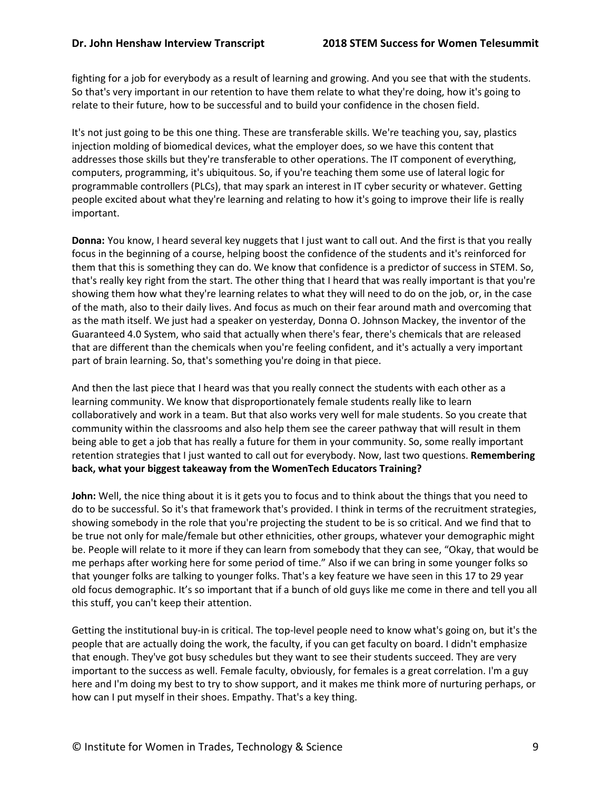fighting for a job for everybody as a result of learning and growing. And you see that with the students. So that's very important in our retention to have them relate to what they're doing, how it's going to relate to their future, how to be successful and to build your confidence in the chosen field.

It's not just going to be this one thing. These are transferable skills. We're teaching you, say, plastics injection molding of biomedical devices, what the employer does, so we have this content that addresses those skills but they're transferable to other operations. The IT component of everything, computers, programming, it's ubiquitous. So, if you're teaching them some use of lateral logic for programmable controllers (PLCs), that may spark an interest in IT cyber security or whatever. Getting people excited about what they're learning and relating to how it's going to improve their life is really important.

**Donna:** You know, I heard several key nuggets that I just want to call out. And the first is that you really focus in the beginning of a course, helping boost the confidence of the students and it's reinforced for them that this is something they can do. We know that confidence is a predictor of success in STEM. So, that's really key right from the start. The other thing that I heard that was really important is that you're showing them how what they're learning relates to what they will need to do on the job, or, in the case of the math, also to their daily lives. And focus as much on their fear around math and overcoming that as the math itself. We just had a speaker on yesterday, Donna O. Johnson Mackey, the inventor of the Guaranteed 4.0 System, who said that actually when there's fear, there's chemicals that are released that are different than the chemicals when you're feeling confident, and it's actually a very important part of brain learning. So, that's something you're doing in that piece.

And then the last piece that I heard was that you really connect the students with each other as a learning community. We know that disproportionately female students really like to learn collaboratively and work in a team. But that also works very well for male students. So you create that community within the classrooms and also help them see the career pathway that will result in them being able to get a job that has really a future for them in your community. So, some really important retention strategies that I just wanted to call out for everybody. Now, last two questions. **Remembering back, what your biggest takeaway from the WomenTech Educators Training?**

**John:** Well, the nice thing about it is it gets you to focus and to think about the things that you need to do to be successful. So it's that framework that's provided. I think in terms of the recruitment strategies, showing somebody in the role that you're projecting the student to be is so critical. And we find that to be true not only for male/female but other ethnicities, other groups, whatever your demographic might be. People will relate to it more if they can learn from somebody that they can see, "Okay, that would be me perhaps after working here for some period of time." Also if we can bring in some younger folks so that younger folks are talking to younger folks. That's a key feature we have seen in this 17 to 29 year old focus demographic. It's so important that if a bunch of old guys like me come in there and tell you all this stuff, you can't keep their attention.

Getting the institutional buy-in is critical. The top-level people need to know what's going on, but it's the people that are actually doing the work, the faculty, if you can get faculty on board. I didn't emphasize that enough. They've got busy schedules but they want to see their students succeed. They are very important to the success as well. Female faculty, obviously, for females is a great correlation. I'm a guy here and I'm doing my best to try to show support, and it makes me think more of nurturing perhaps, or how can I put myself in their shoes. Empathy. That's a key thing.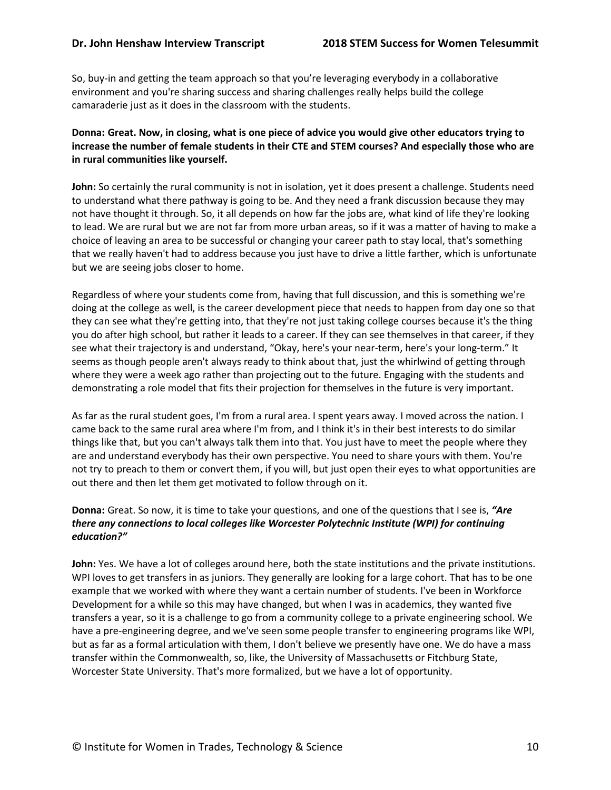So, buy-in and getting the team approach so that you're leveraging everybody in a collaborative environment and you're sharing success and sharing challenges really helps build the college camaraderie just as it does in the classroom with the students.

## **Donna: Great. Now, in closing, what is one piece of advice you would give other educators trying to increase the number of female students in their CTE and STEM courses? And especially those who are in rural communities like yourself.**

**John:** So certainly the rural community is not in isolation, yet it does present a challenge. Students need to understand what there pathway is going to be. And they need a frank discussion because they may not have thought it through. So, it all depends on how far the jobs are, what kind of life they're looking to lead. We are rural but we are not far from more urban areas, so if it was a matter of having to make a choice of leaving an area to be successful or changing your career path to stay local, that's something that we really haven't had to address because you just have to drive a little farther, which is unfortunate but we are seeing jobs closer to home.

Regardless of where your students come from, having that full discussion, and this is something we're doing at the college as well, is the career development piece that needs to happen from day one so that they can see what they're getting into, that they're not just taking college courses because it's the thing you do after high school, but rather it leads to a career. If they can see themselves in that career, if they see what their trajectory is and understand, "Okay, here's your near-term, here's your long-term." It seems as though people aren't always ready to think about that, just the whirlwind of getting through where they were a week ago rather than projecting out to the future. Engaging with the students and demonstrating a role model that fits their projection for themselves in the future is very important.

As far as the rural student goes, I'm from a rural area. I spent years away. I moved across the nation. I came back to the same rural area where I'm from, and I think it's in their best interests to do similar things like that, but you can't always talk them into that. You just have to meet the people where they are and understand everybody has their own perspective. You need to share yours with them. You're not try to preach to them or convert them, if you will, but just open their eyes to what opportunities are out there and then let them get motivated to follow through on it.

## **Donna:** Great. So now, it is time to take your questions, and one of the questions that I see is, *"Are there any connections to local colleges like Worcester Polytechnic Institute (WPI) for continuing education?"*

**John:** Yes. We have a lot of colleges around here, both the state institutions and the private institutions. WPI loves to get transfers in as juniors. They generally are looking for a large cohort. That has to be one example that we worked with where they want a certain number of students. I've been in Workforce Development for a while so this may have changed, but when I was in academics, they wanted five transfers a year, so it is a challenge to go from a community college to a private engineering school. We have a pre-engineering degree, and we've seen some people transfer to engineering programs like WPI, but as far as a formal articulation with them, I don't believe we presently have one. We do have a mass transfer within the Commonwealth, so, like, the University of Massachusetts or Fitchburg State, Worcester State University. That's more formalized, but we have a lot of opportunity.